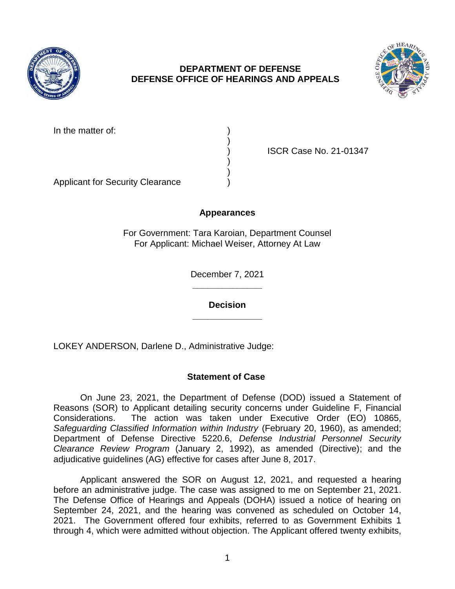

## **DEPARTMENT OF DEFENSE DEFENSE OFFICE OF HEARINGS AND APPEALS**



In the matter of:

) ISCR Case No. 21-01347

Applicant for Security Clearance )

# **Appearances**

)

) )

For Government: Tara Karoian, Department Counsel For Applicant: Michael Weiser, Attorney At Law

> **\_\_\_\_\_\_\_\_\_\_\_\_\_\_**  December 7, 2021

**\_\_\_\_\_\_\_\_\_\_\_\_\_\_ Decision** 

LOKEY ANDERSON, Darlene D., Administrative Judge:

# **Statement of Case**

 On June 23, 2021, the Department of Defense (DOD) issued a Statement of Reasons (SOR) to Applicant detailing security concerns under Guideline F, Financial Considerations. The action was taken under Executive Order (EO) 10865, Safeguarding Classified Information within Industry (February 20, 1960), as amended; Department of Defense Directive 5220.6, *Defense Industrial Personnel Security Clearance Review Program* (January 2, 1992), as amended (Directive); and the adjudicative guidelines (AG) effective for cases after June 8, 2017.

 Applicant answered the SOR on August 12, 2021, and requested a hearing before an administrative judge. The case was assigned to me on September 21, 2021. The Defense Office of Hearings and Appeals (DOHA) issued a notice of hearing on September 24, 2021, and the hearing was convened as scheduled on October 14, 2021. The Government offered four exhibits, referred to as Government Exhibits 1 through 4, which were admitted without objection. The Applicant offered twenty exhibits,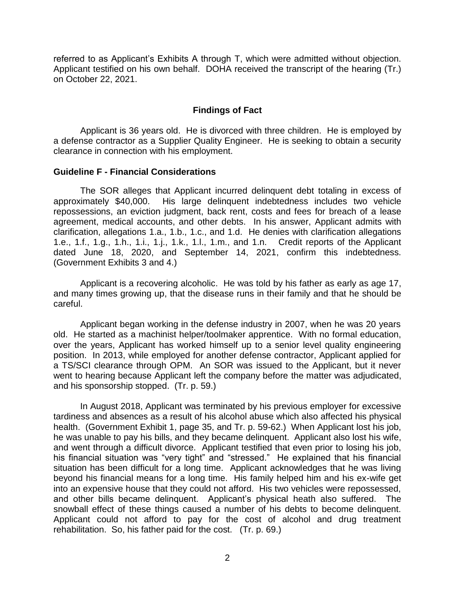referred to as Applicant's Exhibits A through T, which were admitted without objection. Applicant testified on his own behalf. DOHA received the transcript of the hearing (Tr.) on October 22, 2021.

#### **Findings of Fact**

 Applicant is 36 years old. He is divorced with three children. He is employed by a defense contractor as a Supplier Quality Engineer. He is seeking to obtain a security clearance in connection with his employment.

#### **Guideline F - Financial Considerations**

 approximately \$40,000. His large delinquent indebtedness includes two vehicle repossessions, an eviction judgment, back rent, costs and fees for breach of a lease agreement, medical accounts, and other debts. In his answer, Applicant admits with clarification, allegations 1.a., 1.b., 1.c., and 1.d. He denies with clarification allegations 1.e., 1.f., 1.g., 1.h., 1.i., 1.j., 1.k., 1.l., 1.m., and 1.n. Credit reports of the Applicant (Government Exhibits 3 and 4.) The SOR alleges that Applicant incurred delinquent debt totaling in excess of dated June 18, 2020, and September 14, 2021, confirm this indebtedness.

(Government Exhibits 3 and 4.)<br>Applicant is a recovering alcoholic. He was told by his father as early as age 17, and many times growing up, that the disease runs in their family and that he should be careful.

 Applicant began working in the defense industry in 2007, when he was 20 years old. He started as a machinist helper/toolmaker apprentice. With no formal education, over the years, Applicant has worked himself up to a senior level quality engineering position. In 2013, while employed for another defense contractor, Applicant applied for a TS/SCI clearance through OPM. An SOR was issued to the Applicant, but it never went to hearing because Applicant left the company before the matter was adjudicated, and his sponsorship stopped. (Tr. p. 59.)

 In August 2018, Applicant was terminated by his previous employer for excessive tardiness and absences as a result of his alcohol abuse which also affected his physical health. (Government Exhibit 1, page 35, and Tr. p. 59-62.) When Applicant lost his job, he was unable to pay his bills, and they became delinquent. Applicant also lost his wife, and went through a difficult divorce. Applicant testified that even prior to losing his job, his financial situation was "very tight" and "stressed." He explained that his financial situation has been difficult for a long time. Applicant acknowledges that he was living beyond his financial means for a long time. His family helped him and his ex-wife get into an expensive house that they could not afford. His two vehicles were repossessed, and other bills became delinquent. Applicant's physical heath also suffered. The snowball effect of these things caused a number of his debts to become delinquent. Applicant could not afford to pay for the cost of alcohol and drug treatment rehabilitation. So, his father paid for the cost. (Tr. p. 69.)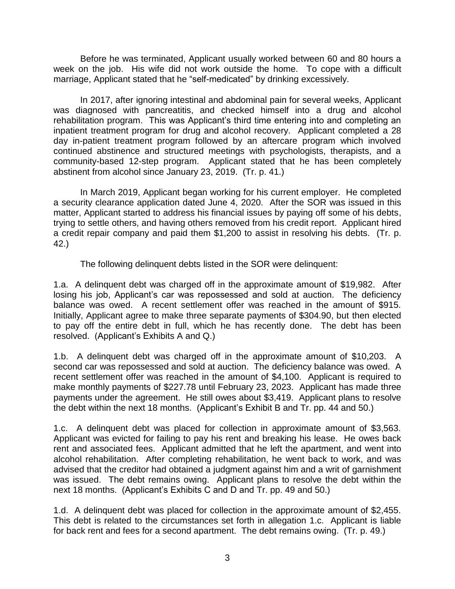Before he was terminated, Applicant usually worked between 60 and 80 hours a week on the job. His wife did not work outside the home. To cope with a difficult marriage, Applicant stated that he "self-medicated" by drinking excessively.

 In 2017, after ignoring intestinal and abdominal pain for several weeks, Applicant was diagnosed with pancreatitis, and checked himself into a drug and alcohol rehabilitation program. This was Applicant's third time entering into and completing an inpatient treatment program for drug and alcohol recovery. Applicant completed a 28 day in-patient treatment program followed by an aftercare program which involved continued abstinence and structured meetings with psychologists, therapists, and a community-based 12-step program. Applicant stated that he has been completely abstinent from alcohol since January 23, 2019. (Tr. p. 41.)

 In March 2019, Applicant began working for his current employer. He completed a security clearance application dated June 4, 2020. After the SOR was issued in this matter, Applicant started to address his financial issues by paying off some of his debts, trying to settle others, and having others removed from his credit report. Applicant hired a credit repair company and paid them \$1,200 to assist in resolving his debts. (Tr. p. 42.)

The following delinquent debts listed in the SOR were delinquent:

 1.a. A delinquent debt was charged off in the approximate amount of \$19,982. After losing his job, Applicant's car was repossessed and sold at auction. The deficiency balance was owed. A recent settlement offer was reached in the amount of \$915. Initially, Applicant agree to make three separate payments of \$304.90, but then elected to pay off the entire debt in full, which he has recently done. The debt has been resolved. (Applicant's Exhibits A and Q.)

 1.b. A delinquent debt was charged off in the approximate amount of \$10,203. A second car was repossessed and sold at auction. The deficiency balance was owed. A recent settlement offer was reached in the amount of \$4,100. Applicant is required to make monthly payments of \$227.78 until February 23, 2023. Applicant has made three payments under the agreement. He still owes about \$3,419. Applicant plans to resolve the debt within the next 18 months. (Applicant's Exhibit B and Tr. pp. 44 and 50.)

 1.c. A delinquent debt was placed for collection in approximate amount of \$3,563. Applicant was evicted for failing to pay his rent and breaking his lease. He owes back rent and associated fees. Applicant admitted that he left the apartment, and went into alcohol rehabilitation. After completing rehabilitation, he went back to work, and was advised that the creditor had obtained a judgment against him and a writ of garnishment was issued. The debt remains owing. Applicant plans to resolve the debt within the next 18 months. (Applicant's Exhibits C and D and Tr. pp. 49 and 50.)

 1.d. A delinquent debt was placed for collection in the approximate amount of \$2,455. This debt is related to the circumstances set forth in allegation 1.c. Applicant is liable for back rent and fees for a second apartment. The debt remains owing. (Tr. p. 49.)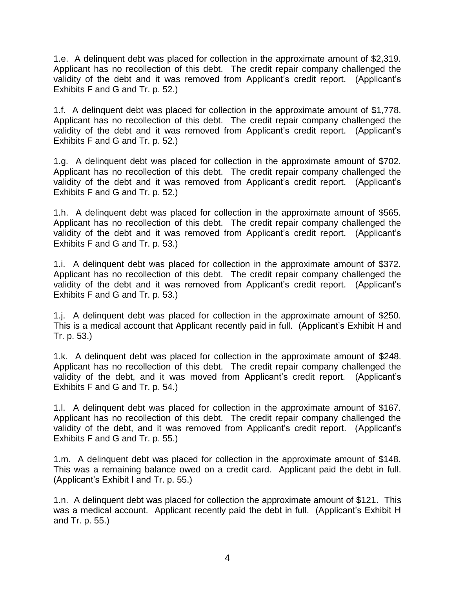1.e. A delinquent debt was placed for collection in the approximate amount of \$2,319. Applicant has no recollection of this debt. The credit repair company challenged the validity of the debt and it was removed from Applicant's credit report. (Applicant's Exhibits F and G and Tr. p. 52.)

 1.f. A delinquent debt was placed for collection in the approximate amount of \$1,778. Applicant has no recollection of this debt. The credit repair company challenged the validity of the debt and it was removed from Applicant's credit report. (Applicant's Exhibits F and G and Tr. p. 52.)

 1.g. A delinquent debt was placed for collection in the approximate amount of \$702. Applicant has no recollection of this debt. The credit repair company challenged the validity of the debt and it was removed from Applicant's credit report. (Applicant's Exhibits F and G and Tr. p. 52.)

 1.h. A delinquent debt was placed for collection in the approximate amount of \$565. Applicant has no recollection of this debt. The credit repair company challenged the validity of the debt and it was removed from Applicant's credit report. (Applicant's Exhibits F and G and Tr. p. 53.)

 A delinquent debt was placed for collection in the approximate amount of \$372. 1.i. Applicant has no recollection of this debt. The credit repair company challenged the validity of the debt and it was removed from Applicant's credit report. (Applicant's Exhibits F and G and Tr. p. 53.)

 1.j. A delinquent debt was placed for collection in the approximate amount of \$250. This is a medical account that Applicant recently paid in full. (Applicant's Exhibit H and Tr. p. 53.)

 1.k. A delinquent debt was placed for collection in the approximate amount of \$248. Applicant has no recollection of this debt. The credit repair company challenged the validity of the debt, and it was moved from Applicant's credit report. (Applicant's Exhibits F and G and Tr. p. 54.)

 1.l. A delinquent debt was placed for collection in the approximate amount of \$167. Applicant has no recollection of this debt. The credit repair company challenged the validity of the debt, and it was removed from Applicant's credit report. (Applicant's Exhibits F and G and Tr. p. 55.)

 1.m. A delinquent debt was placed for collection in the approximate amount of \$148. This was a remaining balance owed on a credit card. Applicant paid the debt in full. (Applicant's Exhibit I and Tr. p. 55.)

 A delinquent debt was placed for collection the approximate amount of \$121. This 1.n. was a medical account. Applicant recently paid the debt in full. (Applicant's Exhibit H and Tr. p. 55.)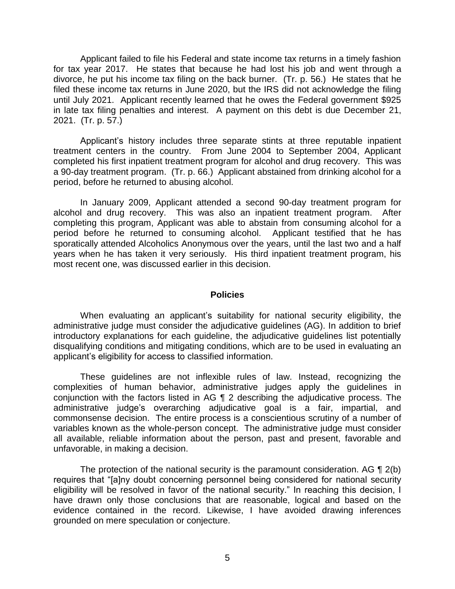Applicant failed to file his Federal and state income tax returns in a timely fashion for tax year 2017. He states that because he had lost his job and went through a divorce, he put his income tax filing on the back burner. (Tr. p. 56.) He states that he filed these income tax returns in June 2020, but the IRS did not acknowledge the filing until July 2021. Applicant recently learned that he owes the Federal government \$925 in late tax filing penalties and interest. A payment on this debt is due December 21, 2021. (Tr. p. 57.)

 Applicant's history includes three separate stints at three reputable inpatient treatment centers in the country. From June 2004 to September 2004, Applicant completed his first inpatient treatment program for alcohol and drug recovery. This was period, before he returned to abusing alcohol. a 90-day treatment program. (Tr. p. 66.) Applicant abstained from drinking alcohol for a

 In January 2009, Applicant attended a second 90-day treatment program for alcohol and drug recovery. This was also an inpatient treatment program. After completing this program, Applicant was able to abstain from consuming alcohol for a period before he returned to consuming alcohol. Applicant testified that he has sporatically attended Alcoholics Anonymous over the years, until the last two and a half years when he has taken it very seriously. His third inpatient treatment program, his most recent one, was discussed earlier in this decision.

#### **Policies**

 When evaluating an applicant's suitability for national security eligibility, the administrative judge must consider the adjudicative guidelines (AG). In addition to brief introductory explanations for each guideline, the adjudicative guidelines list potentially disqualifying conditions and mitigating conditions, which are to be used in evaluating an applicant's eligibility for access to classified information.

 These guidelines are not inflexible rules of law. Instead, recognizing the complexities of human behavior, administrative judges apply the guidelines in conjunction with the factors listed in AG ¶ 2 describing the adjudicative process. The commonsense decision. The entire process is a conscientious scrutiny of a number of variables known as the whole-person concept. The administrative judge must consider all available, reliable information about the person, past and present, favorable and administrative judge's overarching adjudicative goal is a fair, impartial, and unfavorable, in making a decision.

The protection of the national security is the paramount consideration. AG  $\P$  2(b) eligibility will be resolved in favor of the national security." In reaching this decision, I have drawn only those conclusions that are reasonable, logical and based on the evidence contained in the record. Likewise, I have avoided drawing inferences requires that "[a]ny doubt concerning personnel being considered for national security grounded on mere speculation or conjecture.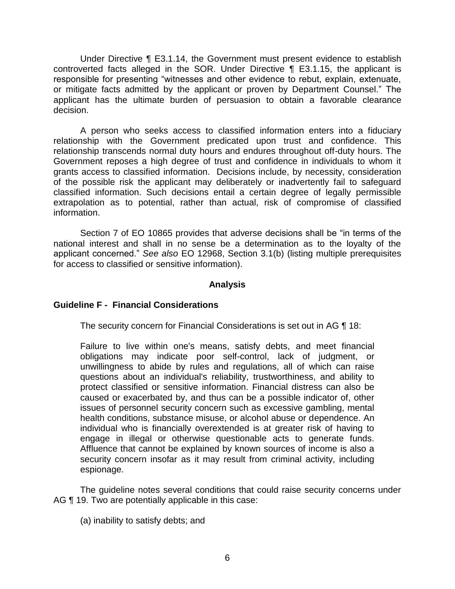Under Directive ¶ E3.1.14, the Government must present evidence to establish controverted facts alleged in the SOR. Under Directive ¶ E3.1.15, the applicant is responsible for presenting "witnesses and other evidence to rebut, explain, extenuate, or mitigate facts admitted by the applicant or proven by Department Counsel." The applicant has the ultimate burden of persuasion to obtain a favorable clearance decision.

 A person who seeks access to classified information enters into a fiduciary relationship with the Government predicated upon trust and confidence. This relationship transcends normal duty hours and endures throughout off-duty hours. The Government reposes a high degree of trust and confidence in individuals to whom it of the possible risk the applicant may deliberately or inadvertently fail to safeguard classified information. Such decisions entail a certain degree of legally permissible extrapolation as to potential, rather than actual, risk of compromise of classified grants access to classified information. Decisions include, by necessity, consideration information.

 Section 7 of EO 10865 provides that adverse decisions shall be "in terms of the national interest and shall in no sense be a determination as to the loyalty of the applicant concerned." *See also* EO 12968, Section 3.1(b) (listing multiple prerequisites for access to classified or sensitive information).

#### **Analysis**

### **Guideline F - Financial Considerations**

The security concern for Financial Considerations is set out in AG ¶ 18:

 Failure to live within one's means, satisfy debts, and meet financial obligations may indicate poor self-control, lack of judgment, or unwillingness to abide by rules and regulations, all of which can raise questions about an individual's reliability, trustworthiness, and ability to protect classified or sensitive information. Financial distress can also be caused or exacerbated by, and thus can be a possible indicator of, other issues of personnel security concern such as excessive gambling, mental individual who is financially overextended is at greater risk of having to engage in illegal or otherwise questionable acts to generate funds. Affluence that cannot be explained by known sources of income is also a health conditions, substance misuse, or alcohol abuse or dependence. An security concern insofar as it may result from criminal activity, including espionage.

 The guideline notes several conditions that could raise security concerns under AG ¶ 19. Two are potentially applicable in this case:

(a) inability to satisfy debts; and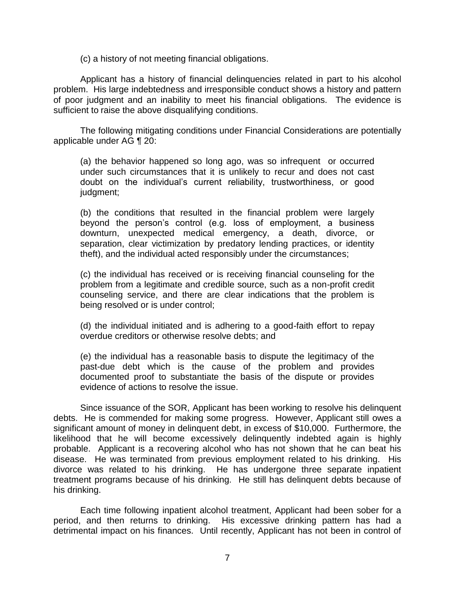(c) a history of not meeting financial obligations.

 Applicant has a history of financial delinquencies related in part to his alcohol problem. His large indebtedness and irresponsible conduct shows a history and pattern of poor judgment and an inability to meet his financial obligations. The evidence is sufficient to raise the above disqualifying conditions.

 The following mitigating conditions under Financial Considerations are potentially applicable under AG ¶ 20:

(a) the behavior happened so long ago, was so infrequent or occurred under such circumstances that it is unlikely to recur and does not cast doubt on the individual's current reliability, trustworthiness, or good judgment;

(b) the conditions that resulted in the financial problem were largely beyond the person's control (e.g. loss of employment, a business downturn, unexpected medical emergency, a death, divorce, or separation, clear victimization by predatory lending practices, or identity theft), and the individual acted responsibly under the circumstances;

(c) the individual has received or is receiving financial counseling for the problem from a legitimate and credible source, such as a non-profit credit counseling service, and there are clear indications that the problem is being resolved or is under control;

(d) the individual initiated and is adhering to a good-faith effort to repay overdue creditors or otherwise resolve debts; and

(e) the individual has a reasonable basis to dispute the legitimacy of the past-due debt which is the cause of the problem and provides documented proof to substantiate the basis of the dispute or provides evidence of actions to resolve the issue.

 Since issuance of the SOR, Applicant has been working to resolve his delinquent debts. He is commended for making some progress. However, Applicant still owes a significant amount of money in delinquent debt, in excess of \$10,000. Furthermore, the likelihood that he will become excessively delinquently indebted again is highly probable. Applicant is a recovering alcohol who has not shown that he can beat his disease. He was terminated from previous employment related to his drinking. His divorce was related to his drinking. He has undergone three separate inpatient treatment programs because of his drinking. He still has delinquent debts because of his drinking.

 Each time following inpatient alcohol treatment, Applicant had been sober for a period, and then returns to drinking. His excessive drinking pattern has had a detrimental impact on his finances. Until recently, Applicant has not been in control of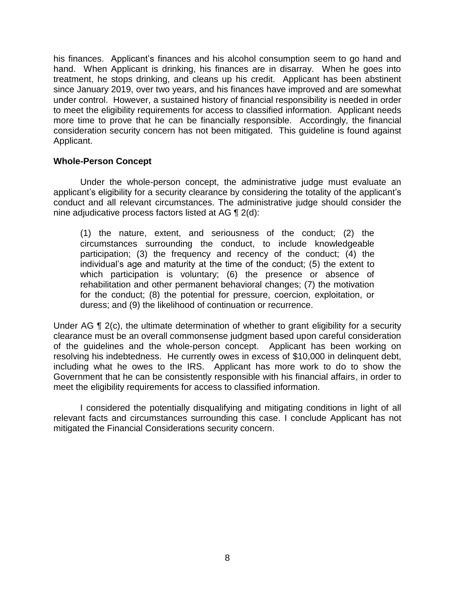his finances. Applicant's finances and his alcohol consumption seem to go hand and hand. When Applicant is drinking, his finances are in disarray. When he goes into treatment, he stops drinking, and cleans up his credit. Applicant has been abstinent since January 2019, over two years, and his finances have improved and are somewhat under control. However, a sustained history of financial responsibility is needed in order to meet the eligibility requirements for access to classified information. Applicant needs more time to prove that he can be financially responsible. Accordingly, the financial consideration security concern has not been mitigated. This guideline is found against Applicant.

### **Whole-Person Concept**

 Under the whole-person concept, the administrative judge must evaluate an applicant's eligibility for a security clearance by considering the totality of the applicant's conduct and all relevant circumstances. The administrative judge should consider the nine adjudicative process factors listed at AG ¶ 2(d):

(1) the nature, extent, and seriousness of the conduct; (2) the circumstances surrounding the conduct, to include knowledgeable participation; (3) the frequency and recency of the conduct; (4) the individual's age and maturity at the time of the conduct; (5) the extent to which participation is voluntary; (6) the presence or absence of rehabilitation and other permanent behavioral changes; (7) the motivation for the conduct; (8) the potential for pressure, coercion, exploitation, or duress; and (9) the likelihood of continuation or recurrence.

Under AG ¶ 2(c), the ultimate determination of whether to grant eligibility for a security of the guidelines and the whole-person concept. Applicant has been working on resolving his indebtedness. He currently owes in excess of \$10,000 in delinquent debt, including what he owes to the IRS. Applicant has more work to do to show the Government that he can be consistently responsible with his financial affairs, in order to meet the eligibility requirements for access to classified information. clearance must be an overall commonsense judgment based upon careful consideration

meet the eligibility requirements for access to classified information.<br>I considered the potentially disqualifying and mitigating conditions in light of all mitigated the Financial Considerations security concern. relevant facts and circumstances surrounding this case. I conclude Applicant has not mitigated the Financial Considerations security concern.<br>
Analysis of the Singhstein Security concern.<br>  $8$